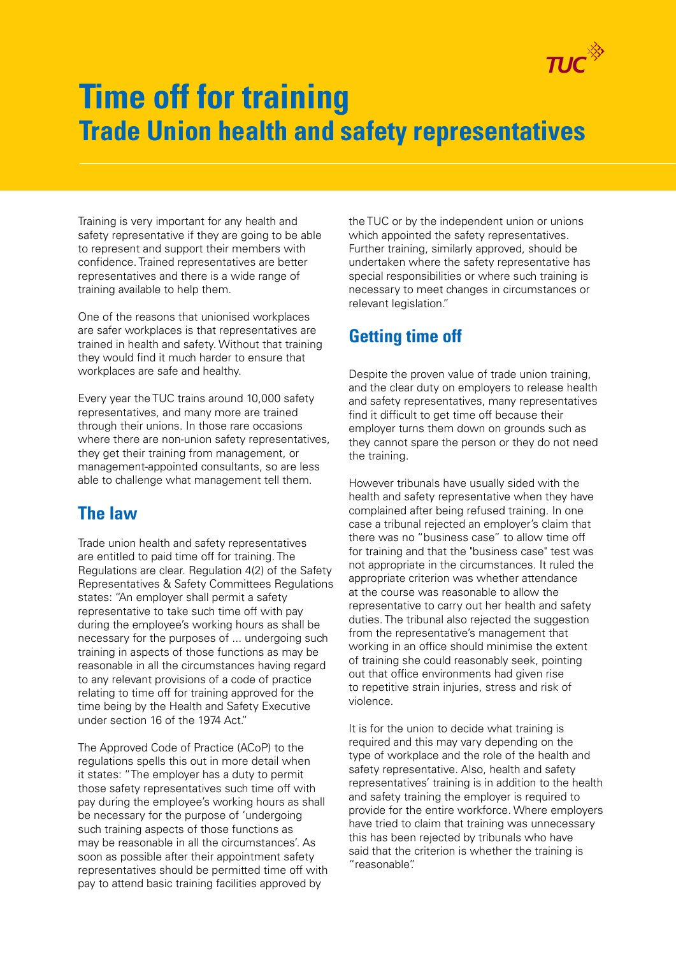

## **Time off for training Trade Union health and safety representatives**

Training is very important for any health and safety representative if they are going to be able to represent and support their members with confidence. Trained representatives are better representatives and there is a wide range of training available to help them.

One of the reasons that unionised workplaces are safer workplaces is that representatives are trained in health and safety. Without that training they would find it much harder to ensure that workplaces are safe and healthy.

Every year the TUC trains around 10,000 safety representatives, and many more are trained through their unions. In those rare occasions where there are non-union safety representatives, they get their training from management, or management-appointed consultants, so are less able to challenge what management tell them.

## **The law**

Trade union health and safety representatives are entitled to paid time off for training. The Regulations are clear. Regulation 4(2) of the Safety Representatives & Safety Committees Regulations states: "An employer shall permit a safety representative to take such time off with pay during the employee's working hours as shall be necessary for the purposes of ... undergoing such training in aspects of those functions as may be reasonable in all the circumstances having regard to any relevant provisions of a code of practice relating to time off for training approved for the time being by the Health and Safety Executive under section 16 of the 1974 Act."

The Approved Code of Practice (ACoP) to the regulations spells this out in more detail when it states: "The employer has a duty to permit those safety representatives such time off with pay during the employee's working hours as shall be necessary for the purpose of 'undergoing such training aspects of those functions as may be reasonable in all the circumstances'. As soon as possible after their appointment safety representatives should be permitted time off with pay to attend basic training facilities approved by

the TUC or by the independent union or unions which appointed the safety representatives. Further training, similarly approved, should be undertaken where the safety representative has special responsibilities or where such training is necessary to meet changes in circumstances or relevant legislation."

## **Getting time off**

Despite the proven value of trade union training, and the clear duty on employers to release health and safety representatives, many representatives find it difficult to get time off because their employer turns them down on grounds such as they cannot spare the person or they do not need the training.

However tribunals have usually sided with the health and safety representative when they have complained after being refused training. In one case a tribunal rejected an employer's claim that there was no "business case" to allow time off for training and that the "business case" test was not appropriate in the circumstances. It ruled the appropriate criterion was whether attendance at the course was reasonable to allow the representative to carry out her health and safety duties. The tribunal also rejected the suggestion from the representative's management that working in an office should minimise the extent of training she could reasonably seek, pointing out that office environments had given rise to repetitive strain injuries, stress and risk of violence.

It is for the union to decide what training is required and this may vary depending on the type of workplace and the role of the health and safety representative. Also, health and safety representatives' training is in addition to the health and safety training the employer is required to provide for the entire workforce. Where employers have tried to claim that training was unnecessary this has been rejected by tribunals who have said that the criterion is whether the training is "reasonable".